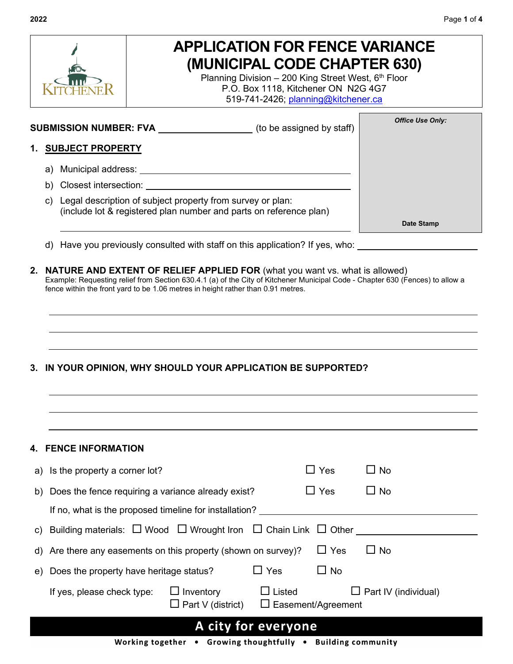

# **APPLICATION FOR FENCE VARIANCE (MUNICIPAL CODE CHAPTER 630)**

Planning Division - 200 King Street West,  $6<sup>th</sup>$  Floor P.O. Box 1118, Kitchener ON N2G 4G7 519-741-2426; [planning@kitchener.ca](mailto:planning@kitchener.ca)

**SUBMISSION NUMBER: FVA \_\_\_\_\_\_\_\_\_\_\_\_\_\_\_\_\_\_** (to be assigned by staff)

#### **1. SUBJECT PROPERTY**

- a) Municipal address:
- b) Closest intersection:
- c) Legal description of subject property from survey or plan: (include lot & registered plan number and parts on reference plan)

**Date Stamp**

*Office Use Only:*

- d) Have you previously consulted with staff on this application? If yes, who:
- **2. NATURE AND EXTENT OF RELIEF APPLIED FOR** (what you want vs. what is allowed) Example: Requesting relief from Section 630.4.1 (a) of the City of Kitchener Municipal Code - Chapter 630 (Fences) to allow a fence within the front yard to be 1.06 metres in height rather than 0.91 metres.

#### **3. IN YOUR OPINION, WHY SHOULD YOUR APPLICATION BE SUPPORTED?**

|                     | <b>4. FENCE INFORMATION</b>                                                                |                                              |                                            |            |                             |  |
|---------------------|--------------------------------------------------------------------------------------------|----------------------------------------------|--------------------------------------------|------------|-----------------------------|--|
|                     | a) Is the property a corner lot?                                                           |                                              |                                            | $\Box$ Yes | $\Box$ No                   |  |
|                     | b) Does the fence requiring a variance already exist?                                      |                                              |                                            | $\Box$ Yes | $\Box$ No                   |  |
|                     | If no, what is the proposed timeline for installation?                                     |                                              |                                            |            |                             |  |
|                     | c) Building materials: $\Box$ Wood $\Box$ Wrought Iron $\Box$ Chain Link $\Box$ Other ____ |                                              |                                            |            |                             |  |
|                     | d) Are there any easements on this property (shown on survey)?                             |                                              |                                            | $\Box$ Yes | $\Box$ No                   |  |
|                     | e) Does the property have heritage status?                                                 |                                              | $\Box$ Yes                                 | $\Box$ No  |                             |  |
|                     | If yes, please check type:                                                                 | $\Box$ Inventory<br>$\Box$ Part V (district) | $\Box$ Listed<br>$\Box$ Easement/Agreement |            | $\Box$ Part IV (individual) |  |
| A city for everyone |                                                                                            |                                              |                                            |            |                             |  |
|                     |                                                                                            |                                              |                                            |            |                             |  |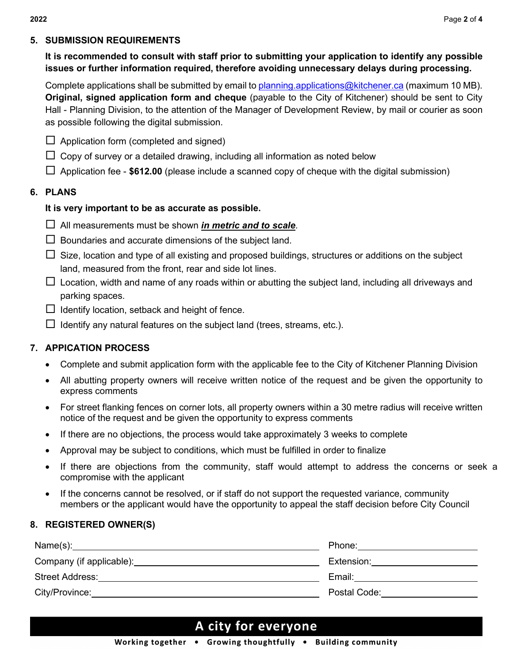#### **5. SUBMISSION REQUIREMENTS**

### **It is recommended to consult with staff prior to submitting your application to identify any possible issues or further information required, therefore avoiding unnecessary delays during processing.**

Complete applications shall be submitted by email to planning applications  $@$ kitchener.ca (maximum 10 MB). **Original, signed application form and cheque** (payable to the City of Kitchener) should be sent to City Hall - Planning Division, to the attention of the Manager of Development Review, by mail or courier as soon as possible following the digital submission.

- $\Box$  Application form (completed and signed)
- $\Box$  Copy of survey or a detailed drawing, including all information as noted below
- Application fee **\$612.00** (please include a scanned copy of cheque with the digital submission)

#### **6. PLANS**

#### **It is very important to be as accurate as possible.**

- All measurements must be shown *in metric and to scale*.
- $\Box$  Boundaries and accurate dimensions of the subject land.
- $\Box$  Size, location and type of all existing and proposed buildings, structures or additions on the subject land, measured from the front, rear and side lot lines.
- $\Box$  Location, width and name of any roads within or abutting the subject land, including all driveways and parking spaces.
- $\Box$  Identify location, setback and height of fence.
- $\Box$  Identify any natural features on the subject land (trees, streams, etc.).

#### **7. APPICATION PROCESS**

- Complete and submit application form with the applicable fee to the City of Kitchener Planning Division
- All abutting property owners will receive written notice of the request and be given the opportunity to express comments
- For street flanking fences on corner lots, all property owners within a 30 metre radius will receive written notice of the request and be given the opportunity to express comments
- If there are no objections, the process would take approximately 3 weeks to complete
- Approval may be subject to conditions, which must be fulfilled in order to finalize
- If there are objections from the community, staff would attempt to address the concerns or seek a compromise with the applicant
- If the concerns cannot be resolved, or if staff do not support the requested variance, community members or the applicant would have the opportunity to appeal the staff decision before City Council

#### **8. REGISTERED OWNER(S)**

|                                                  | Phone:               |
|--------------------------------------------------|----------------------|
| Company (if applicable): Company (if applicable) | Extension: Extension |
| <b>Street Address:</b>                           | Email:               |
| City/Province:                                   | Postal Code:         |
|                                                  |                      |

## A city for everyone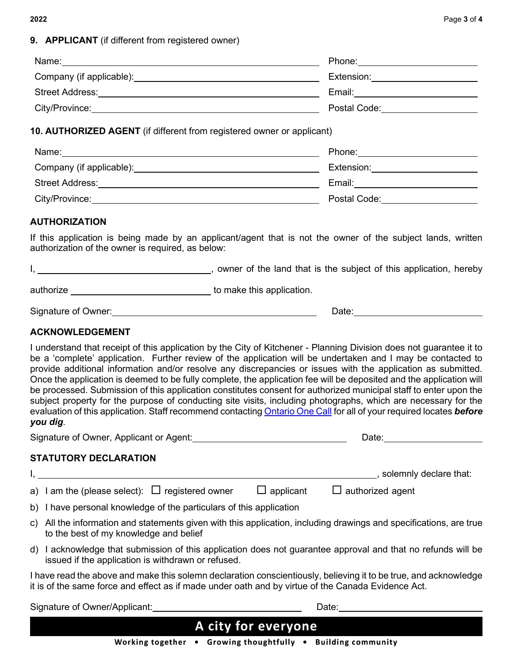### **9. APPLICANT** (if different from registered owner)

|                                                                                                                                                                                                                                                                                                                                                                                                                                                                                                                                                                                                                                                                                                                                                                                                                                                     | Extension: ________________________                                                                  |
|-----------------------------------------------------------------------------------------------------------------------------------------------------------------------------------------------------------------------------------------------------------------------------------------------------------------------------------------------------------------------------------------------------------------------------------------------------------------------------------------------------------------------------------------------------------------------------------------------------------------------------------------------------------------------------------------------------------------------------------------------------------------------------------------------------------------------------------------------------|------------------------------------------------------------------------------------------------------|
|                                                                                                                                                                                                                                                                                                                                                                                                                                                                                                                                                                                                                                                                                                                                                                                                                                                     | Email: 2008. [2010] [2010] [2010] [2010] [2010] [2010] [2010] [2010] [2010] [2010] [2010] [2010] [20 |
|                                                                                                                                                                                                                                                                                                                                                                                                                                                                                                                                                                                                                                                                                                                                                                                                                                                     |                                                                                                      |
| 10. AUTHORIZED AGENT (if different from registered owner or applicant)                                                                                                                                                                                                                                                                                                                                                                                                                                                                                                                                                                                                                                                                                                                                                                              |                                                                                                      |
| Name: Name: Name: Name: Name: Name: Name: Name: Name: Name: Name: Name: Name: Name: Name: Name: Name: Name: Name: Name: Name: Name: Name: Name: Name: Name: Name: Name: Name: Name: Name: Name: Name: Name: Name: Name: Name:                                                                                                                                                                                                                                                                                                                                                                                                                                                                                                                                                                                                                       | Phone: _____________________________                                                                 |
| Company (if applicable): <u>company</u>                                                                                                                                                                                                                                                                                                                                                                                                                                                                                                                                                                                                                                                                                                                                                                                                             | Extension: _________________________                                                                 |
|                                                                                                                                                                                                                                                                                                                                                                                                                                                                                                                                                                                                                                                                                                                                                                                                                                                     |                                                                                                      |
|                                                                                                                                                                                                                                                                                                                                                                                                                                                                                                                                                                                                                                                                                                                                                                                                                                                     |                                                                                                      |
| <b>AUTHORIZATION</b>                                                                                                                                                                                                                                                                                                                                                                                                                                                                                                                                                                                                                                                                                                                                                                                                                                |                                                                                                      |
| If this application is being made by an applicant/agent that is not the owner of the subject lands, written<br>authorization of the owner is required, as below:                                                                                                                                                                                                                                                                                                                                                                                                                                                                                                                                                                                                                                                                                    |                                                                                                      |
| I, 1. All the land that is the subject of this application, hereby                                                                                                                                                                                                                                                                                                                                                                                                                                                                                                                                                                                                                                                                                                                                                                                  |                                                                                                      |
| authorize ___________________________________ to make this application.                                                                                                                                                                                                                                                                                                                                                                                                                                                                                                                                                                                                                                                                                                                                                                             |                                                                                                      |
|                                                                                                                                                                                                                                                                                                                                                                                                                                                                                                                                                                                                                                                                                                                                                                                                                                                     |                                                                                                      |
| <b>ACKNOWLEDGEMENT</b>                                                                                                                                                                                                                                                                                                                                                                                                                                                                                                                                                                                                                                                                                                                                                                                                                              |                                                                                                      |
| I understand that receipt of this application by the City of Kitchener - Planning Division does not guarantee it to<br>be a 'complete' application. Further review of the application will be undertaken and I may be contacted to<br>provide additional information and/or resolve any discrepancies or issues with the application as submitted.<br>Once the application is deemed to be fully complete, the application fee will be deposited and the application will<br>be processed. Submission of this application constitutes consent for authorized municipal staff to enter upon the<br>subject property for the purpose of conducting site visits, including photographs, which are necessary for the<br>evaluation of this application. Staff recommend contacting Ontario One Call for all of your required locates before<br>you dig. |                                                                                                      |
| Signature of Owner, Applicant or Agent:___________________________________                                                                                                                                                                                                                                                                                                                                                                                                                                                                                                                                                                                                                                                                                                                                                                          | Date: <u>www.community.com</u>                                                                       |
| <b>STATUTORY DECLARATION</b>                                                                                                                                                                                                                                                                                                                                                                                                                                                                                                                                                                                                                                                                                                                                                                                                                        |                                                                                                      |
|                                                                                                                                                                                                                                                                                                                                                                                                                                                                                                                                                                                                                                                                                                                                                                                                                                                     |                                                                                                      |
| a) I am the (please select): $\,\,\square\,$ registered owner<br>$\square$ applicant                                                                                                                                                                                                                                                                                                                                                                                                                                                                                                                                                                                                                                                                                                                                                                | $\Box$ authorized agent                                                                              |
| b) I have personal knowledge of the particulars of this application                                                                                                                                                                                                                                                                                                                                                                                                                                                                                                                                                                                                                                                                                                                                                                                 |                                                                                                      |
| c) All the information and statements given with this application, including drawings and specifications, are true<br>to the best of my knowledge and belief                                                                                                                                                                                                                                                                                                                                                                                                                                                                                                                                                                                                                                                                                        |                                                                                                      |
| d) I acknowledge that submission of this application does not guarantee approval and that no refunds will be<br>issued if the application is withdrawn or refused.                                                                                                                                                                                                                                                                                                                                                                                                                                                                                                                                                                                                                                                                                  |                                                                                                      |
| I have read the above and make this solemn declaration conscientiously, believing it to be true, and acknowledge<br>it is of the same force and effect as if made under oath and by virtue of the Canada Evidence Act.                                                                                                                                                                                                                                                                                                                                                                                                                                                                                                                                                                                                                              |                                                                                                      |
|                                                                                                                                                                                                                                                                                                                                                                                                                                                                                                                                                                                                                                                                                                                                                                                                                                                     | Date: Date:                                                                                          |
|                                                                                                                                                                                                                                                                                                                                                                                                                                                                                                                                                                                                                                                                                                                                                                                                                                                     | A city for everyone                                                                                  |